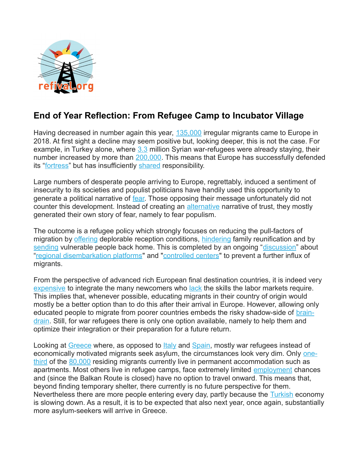

## **End of Year Reflection: From Refugee Camp to Incubator Village**

Having decreased in number again this year, [135,000](https://migration.iom.int/europe?type=arrivals) irregular migrants came to Europe in 2018. At first sight a decline may seem positive but, looking deeper, this is not the case. For example, in Turkey alone, where  $3.3$  million Syrian war-refugees were already staying, their number increased by more than [200,000.](https://data2.unhcr.org/en/situations/syria/location/113) This means that Europe has successfully defended its ["fortress"](https://www.theguardian.com/commentisfree/2018/jun/10/sunday-essay-how-we-colluded-in-fortress-europe-immigration) but has insufficiently [shared](http://data.consilium.europa.eu/doc/document/ST-14571-2017-REV-1/en/pdf) responsibility.

Large numbers of desperate people arriving to Europe, regrettably, induced a sentiment of insecurity to its societies and populist politicians have handily used this opportunity to generate a political narrative of [fear.](https://www.theguardian.com/world/2018/jun/19/hungary-anti-immigration-plans-ngo-tax-orban-bill-criminalise-aid) Those opposing their message unfortunately did not counter this development. Instead of creating an [alternative](https://www.vpro.nl/programmas/tegenlicht/kijk/afleveringen/2017-2018/compassie-als-oplossing.html) narrative of trust, they mostly generated their own story of fear, namely to fear populism.

The outcome is a refugee policy which strongly focuses on reducing the pull-factors of migration by [offering](https://www.theguardian.com/global-development/2018/sep/13/greece-refugees-lesbos-moria-camp-funding-will) deplorable reception conditions, [hindering](https://www.euronews.com/2018/08/01/germany-family-reunification-programme-starts-again-for-refugees) family reunification and by [sending](https://www.amnesty.org/en/latest/news/2018/07/afghanistan-record-civilian-casualties-returns-unjustifiable/) vulnerable people back home. This is completed by an ongoing ["discussion"](https://www.euractiv.com/section/development-policy/news/eu-lowers-its-ambitions-on-african-migration-control/) about ["regional disembarkation platforms"](https://www.consilium.europa.eu/en/meetings/european-council/2018/06/28-29/) and ["controlled centers"](https://www.euractiv.com/section/future-eu/news/controlled-centres-for-migrants-not-hotspots-say-eu-leaders/) to prevent a further influx of migrants.

From the perspective of advanced rich European final destination countries, it is indeed very [expensive](https://www.reuters.com/article/us-germany-budget-migrants/germany-sees-migration-related-spending-of-78-billion-euros-through-2022-report-idUSKCN1IK0EG) to integrate the many newcomers who [lack](https://www.iwd.de/artikel/die-integration-von-fluechtlingen-erfordert-einen-langen-atem-389406/) the skills the labor markets require. This implies that, whenever possible, educating migrants in their country of origin would mostly be a better option than to do this after their arrival in Europe. However, allowing only educated people to migrate from poorer countries embeds the risky shadow-side of **brain**[drain.](http://mo.ibrahim.foundation/news/2018/brain-drain-bane-africas-potential/) Still, for war refugees there is only one option available, namely to help them and optimize their integration or their preparation for a future return.

Looking at [Greece](https://data2.unhcr.org/en/situations/mediterranean/location/5179) where, as opposed to [Italy](https://data2.unhcr.org/en/situations/mediterranean/location/5205) and [Spain,](https://data2.unhcr.org/en/situations/mediterranean/location/5226) mostly war refugees instead of economically motivated migrants seek asylum, the circumstances look very dim. Only [one](http://www.g1218.refival.org/)[third](http://www.g1218.refival.org/) of the [80,000](http://www.g1218.refival.org/) residing migrants currently live in permanent accommodation such as apartments. Most others live in refugee camps, face extremely limited [employment](https://greece.greekreporter.com/2018/08/04/greeces-unemployment-highest-in-developed-world-chart/) chances and (since the Balkan Route is closed) have no option to travel onward. This means that, beyond finding temporary shelter, there currently is no future perspective for them. Nevertheless there are more people entering every day, partly because the [Turkish](https://www.bloomberg.com/news/articles/2018-11-08/moody-s-sees-sharp-contraction-in-turkey-economy-on-lira-turmoil) economy is slowing down. As a result, it is to be expected that also next year, once again, substantially more asylum-seekers will arrive in Greece.